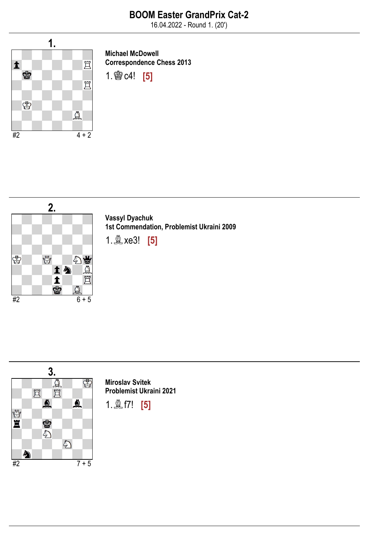16.04.2022 - Round 1. (20')



Michael McDowell Correspondence Chess 2013





Vassyl Dyachuk 1st Commendation, Problemist Ukraini 2009

1.♗xe3! [5]



Miroslav Svitek Problemist Ukraini 2021

1.♗f7! [5]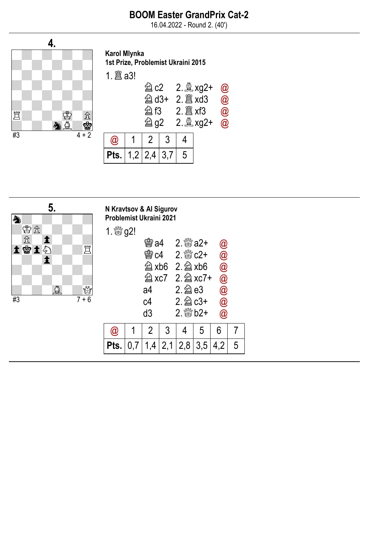16.04.2022 - Round 2. (40')



Karol Mlynka 1st Prize, Problemist Ukraini 2015

1.♖a3!

|                            | 曶c2<br>図 f3<br><b>② g2</b> |   | $\bm{a}$<br>$\overline{\mathbf{a}}$<br>$\overset{-}{\bm{a}}$<br>$\overline{\mathbf{\omega}}$ |  |
|----------------------------|----------------------------|---|----------------------------------------------------------------------------------------------|--|
|                            | $\overline{2}$             |   |                                                                                              |  |
| <b>Pts.</b> $ 1,2 2,4 3,7$ |                            | 5 |                                                                                              |  |



| avtsov & Al Sigurov<br>llemist Ukraini 2021 |                  |      |   |                                            |   |                      |                    |  |
|---------------------------------------------|------------------|------|---|--------------------------------------------|---|----------------------|--------------------|--|
|                                             | <sup>‰</sup> g2! |      |   |                                            |   |                      |                    |  |
|                                             |                  | 臠 a4 |   | 2. ﷺ a2+                                   |   |                      | $\bm{\varnothing}$ |  |
|                                             |                  |      |   | <b>会c4 2. &amp; c2+</b>                    |   | $\bar{\pmb{\theta}}$ |                    |  |
|                                             |                  |      |   | $\hat{\otimes}$ xb6 2. $\hat{\otimes}$ xb6 |   | <b>@</b><br>@<br>@   |                    |  |
|                                             |                  |      |   | <b>② xc7</b> 2. 2 xc7+                     |   |                      |                    |  |
|                                             |                  | a4   |   | $2.\n  2$ e3                               |   |                      |                    |  |
|                                             |                  | c4   |   | $2.\n  2$ c3+                              |   | $\dot{\mathcal{Q}}$  |                    |  |
|                                             |                  | d3   |   | $2.$ $\frac{80}{25}$ b <sub>2</sub> +      |   | $\widehat{\bm{a}}$   |                    |  |
|                                             |                  | 2    | 3 |                                            | 5 | 6                    |                    |  |
|                                             |                  |      |   |                                            |   |                      |                    |  |

**Pts.**  $\begin{bmatrix} 0.7 & 1.4 & 2.1 & 2.8 & 3.5 & 4.2 & 5 \end{bmatrix}$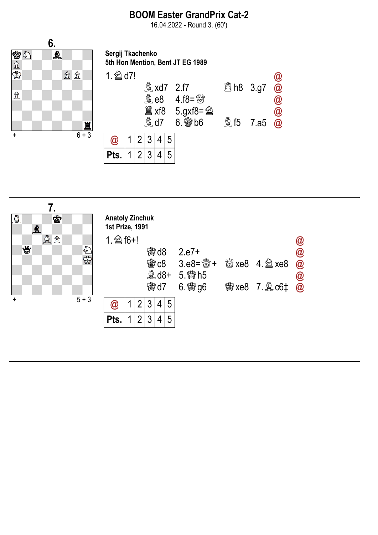16.04.2022 - Round 3. (60')

Sergij Tkachenko



| 5th Hon Mention, Bent JT EG 1989 |  |                |                       |  |   |                                                                              |  |  |               |  |  |
|----------------------------------|--|----------------|-----------------------|--|---|------------------------------------------------------------------------------|--|--|---------------|--|--|
| 1. $\hat{2}$ d7!                 |  |                |                       |  |   |                                                                              |  |  |               |  |  |
|                                  |  |                | $\mathbb{Q}$ xd7 2.f7 |  |   |                                                                              |  |  | <b>@</b><br>@ |  |  |
|                                  |  |                |                       |  |   | $\overset{\circledR}{\mathbb{L}}$ e8 4.f8= $\overset{\circledR}{\mathbb{S}}$ |  |  | $\circleda$   |  |  |
|                                  |  |                |                       |  |   | <b>置 xf8 5.gxf8= 2</b>                                                       |  |  | <b>@</b><br>@ |  |  |
|                                  |  |                |                       |  |   | $\overset{\circledR}{\sim}$ d7 6. $\overset{\circledR}{\approx}$ b6          |  |  |               |  |  |
| $\omega$                         |  |                | 3                     |  | 5 |                                                                              |  |  |               |  |  |
| Pts.                             |  | $\mathfrak{D}$ | 3                     |  |   |                                                                              |  |  |               |  |  |
|                                  |  |                |                       |  |   |                                                                              |  |  |               |  |  |

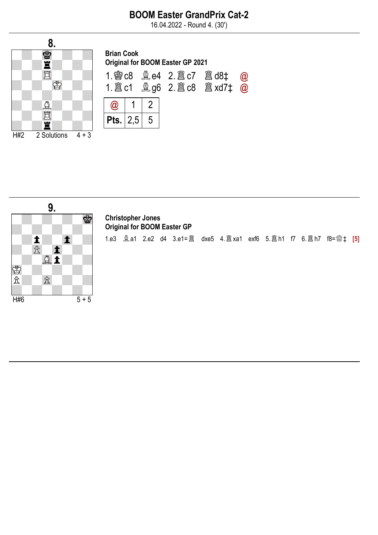16.04.2022 - Round 4. (30')





#### Christopher Jones Original for BOOM Easter GP

1.e3 ♗a1 2.e2 d4 3.e1=♖ dxe5 4.♖xa1 exf6 5.♖h1 f7 6.♖h7 f8=♕‡ [5]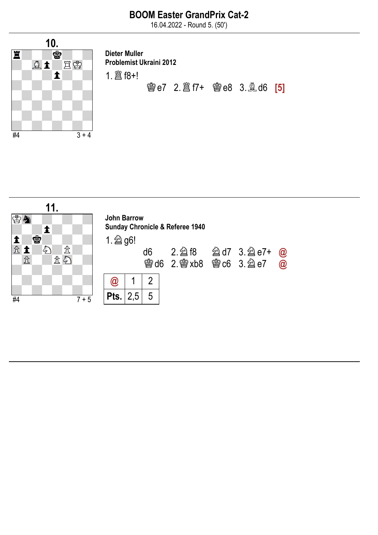16.04.2022 - Round 5. (50')



Dieter Muller Problemist Ukraini 2012 1.♖f8+! ♔e7 2.♖f7+ ♔e8 3.♗d6 [5]